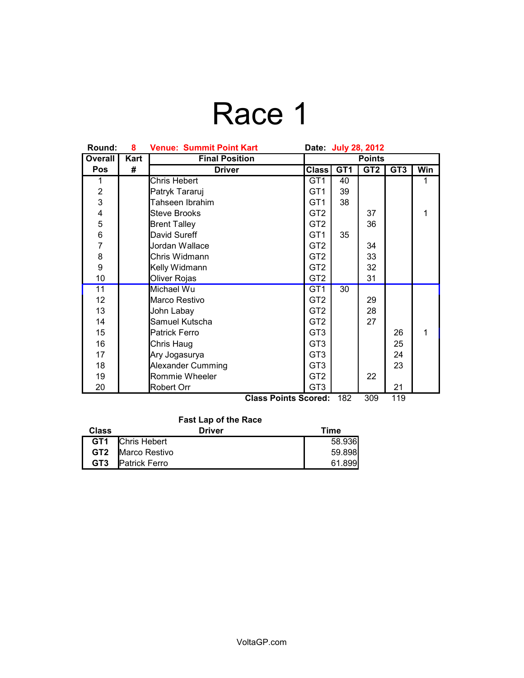# Race 1

| Round:          | 8    | <b>Venue: Summit Point Kart</b><br>Date: July 28, 2012 |                 |                 |                 |                 |     |
|-----------------|------|--------------------------------------------------------|-----------------|-----------------|-----------------|-----------------|-----|
| Overall         | Kart | <b>Final Position</b>                                  | <b>Points</b>   |                 |                 |                 |     |
| <b>Pos</b>      | #    | <b>Driver</b>                                          | <b>Class</b>    | GT <sub>1</sub> | GT <sub>2</sub> | GT <sub>3</sub> | Win |
| 1               |      | Chris Hebert                                           | GT <sub>1</sub> | 40              |                 |                 | 1   |
| $\overline{c}$  |      | Patryk Tararuj                                         | GT <sub>1</sub> | 39              |                 |                 |     |
| 3               |      | Tahseen Ibrahim                                        | GT <sub>1</sub> | 38              |                 |                 |     |
| 4               |      | <b>Steve Brooks</b>                                    | GT <sub>2</sub> |                 | 37              |                 | 1   |
| 5               |      | <b>Brent Talley</b>                                    | GT <sub>2</sub> |                 | 36              |                 |     |
| 6               |      | David Sureff                                           | GT <sub>1</sub> | 35              |                 |                 |     |
| $\overline{7}$  |      | Jordan Wallace                                         | GT <sub>2</sub> |                 | 34              |                 |     |
| 8               |      | Chris Widmann                                          | GT <sub>2</sub> |                 | 33              |                 |     |
| 9               |      | Kelly Widmann                                          | GT <sub>2</sub> |                 | 32              |                 |     |
| 10              |      | Oliver Rojas                                           | GT <sub>2</sub> |                 | 31              |                 |     |
| 11              |      | Michael Wu                                             | GT <sub>1</sub> | 30              |                 |                 |     |
| 12 <sub>2</sub> |      | Marco Restivo                                          | GT <sub>2</sub> |                 | 29              |                 |     |
| 13              |      | John Labay                                             | GT <sub>2</sub> |                 | 28              |                 |     |
| 14              |      | Samuel Kutscha                                         | GT <sub>2</sub> |                 | 27              |                 |     |
| 15              |      | <b>Patrick Ferro</b>                                   | GT <sub>3</sub> |                 |                 | 26              | 1   |
| 16              |      | Chris Haug                                             | GT <sub>3</sub> |                 |                 | 25              |     |
| 17              |      | Ary Jogasurya                                          | GT <sub>3</sub> |                 |                 | 24              |     |
| 18              |      | Alexander Cumming                                      | GT <sub>3</sub> |                 |                 | 23              |     |
| 19              |      | Rommie Wheeler                                         | GT <sub>2</sub> |                 | 22              |                 |     |
| 20              |      | Robert Orr                                             | GT <sub>3</sub> |                 |                 | 21              |     |
|                 |      | Class Points Scored:                                   |                 | 182             | २∩Q             | 110             |     |

| <b>Class Points Scored: 182 309</b> |  | 119 |
|-------------------------------------|--|-----|
|                                     |  |     |

| <b>Fast Lap of the Race</b> |                         |        |  |  |  |
|-----------------------------|-------------------------|--------|--|--|--|
| <b>Class</b>                | Driver                  | Time   |  |  |  |
|                             | <b>GT1</b> Chris Hebert | 58.936 |  |  |  |
| GT2                         | Marco Restivo           | 59.898 |  |  |  |
| GT <sub>3</sub>             | Patrick Ferro           | 61.899 |  |  |  |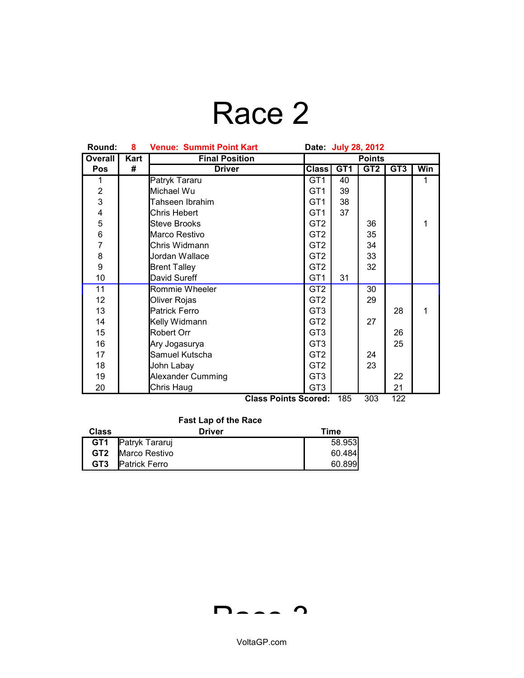## Race 2

| Round:         | 8    | <b>Venue: Summit Point Kart</b><br>Date: July 28, 2012 |                 |     |                 |                 |     |
|----------------|------|--------------------------------------------------------|-----------------|-----|-----------------|-----------------|-----|
| <b>Overall</b> | Kart | <b>Final Position</b>                                  | <b>Points</b>   |     |                 |                 |     |
| Pos            | #    | <b>Driver</b>                                          | <b>Class</b>    | GT1 | GT <sub>2</sub> | GT <sub>3</sub> | Win |
| 1              |      | Patryk Tararu                                          | GT <sub>1</sub> | 40  |                 |                 | 1   |
| $\overline{2}$ |      | Michael Wu                                             | GT <sub>1</sub> | 39  |                 |                 |     |
| 3              |      | Tahseen Ibrahim                                        | GT <sub>1</sub> | 38  |                 |                 |     |
| 4              |      | Chris Hebert                                           | GT <sub>1</sub> | 37  |                 |                 |     |
| 5              |      | Steve Brooks                                           | GT <sub>2</sub> |     | 36              |                 | 1   |
| 6              |      | Marco Restivo                                          | GT <sub>2</sub> |     | 35              |                 |     |
| $\overline{7}$ |      | Chris Widmann                                          | GT <sub>2</sub> |     | 34              |                 |     |
| 8              |      | Jordan Wallace                                         | GT <sub>2</sub> |     | 33              |                 |     |
| 9              |      | <b>Brent Talley</b>                                    | GT <sub>2</sub> |     | 32              |                 |     |
| 10             |      | David Sureff                                           | GT <sub>1</sub> | 31  |                 |                 |     |
| 11             |      | Rommie Wheeler                                         | GT <sub>2</sub> |     | 30              |                 |     |
| 12             |      | Oliver Rojas                                           | GT <sub>2</sub> |     | 29              |                 |     |
| 13             |      | <b>Patrick Ferro</b>                                   | GT <sub>3</sub> |     |                 | 28              | 1   |
| 14             |      | Kelly Widmann                                          | GT <sub>2</sub> |     | 27              |                 |     |
| 15             |      | Robert Orr                                             | GT <sub>3</sub> |     |                 | 26              |     |
| 16             |      | Ary Jogasurya                                          | GT <sub>3</sub> |     |                 | 25              |     |
| 17             |      | Samuel Kutscha                                         | GT <sub>2</sub> |     | 24              |                 |     |
| 18             |      | John Labay                                             | GT <sub>2</sub> |     | 23              |                 |     |
| 19             |      | <b>Alexander Cumming</b>                               | GT <sub>3</sub> |     |                 | 22              |     |
| 20             |      | Chris Haug                                             | GT <sub>3</sub> |     |                 | 21              |     |
|                |      | Class Points Scored:                                   |                 | 185 | ふしび             | 199             |     |

**Class Points Scored:** 185 303 122

### **Fast Lap of the Race**

| <b>Class</b>    | <b>Driver</b>        | Time   |
|-----------------|----------------------|--------|
| GT <sub>1</sub> | Patryk Tararuj       | 58.953 |
| GT2             | Marco Restivo        | 60.484 |
| GT <sub>3</sub> | <b>Patrick Ferro</b> | 60.899 |

 $D - 2 - 2$